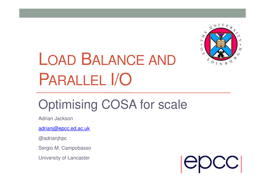

# LOAD <sup>B</sup>ALANCE AND PARALLEL I/O

## Optimising COSA for scale

Adrian Jackson

adrianj@epcc.ed.ac.uk

@adrianjhpc

Sergio M. Campobasso

University of Lancaster

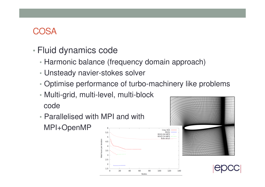#### COSA

- • Fluid dynamics code
	- Harmonic balance (frequency domain approach)
	- Unsteady navier-stokes solver
	- •Optimise performance of turbo-machinery like problems
	- Multi-grid, multi-level, multi-block code
	- Parallelised with MPI and with MPI+OpenMP





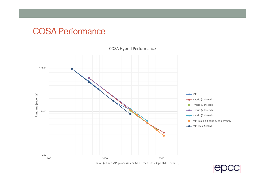#### COSA Performance



#### COSA Hybrid Performance

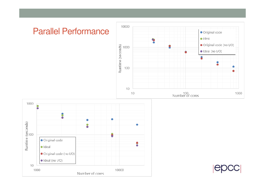#### Parallel Performance





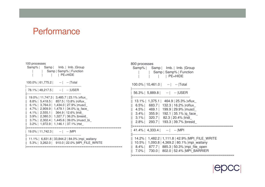#### **Performance**

| 100 processes<br>Samp%   Samp   Imb.   Imb.   Group<br>  Samp   Samp%   Function<br>PE=HIDE                                                                                                                                                                                                                                                                                                                                          | 800 processes<br>Samp%   Samp   Imb.   Imb.   Group<br>  Samp   Samp%   Function<br><b>PE=HIDE</b>                                                                                                                                               |
|--------------------------------------------------------------------------------------------------------------------------------------------------------------------------------------------------------------------------------------------------------------------------------------------------------------------------------------------------------------------------------------------------------------------------------------|--------------------------------------------------------------------------------------------------------------------------------------------------------------------------------------------------------------------------------------------------|
| $100.0\%$   61,775.2   --   --   Total                                                                                                                                                                                                                                                                                                                                                                                               | $100.0\%$   10,461.0   --   --   Total                                                                                                                                                                                                           |
| 78.1%   48,217.5   --   --   USER                                                                                                                                                                                                                                                                                                                                                                                                    | $56.3\%$   5,889.8   --   --   USER                                                                                                                                                                                                              |
| 19.0%   11,747.3   3,485.7   23.1%   vflux_<br>   8.8%   5,418.5   857.5   13.8%   roflux_<br>$\parallel$ 6.1%   3,764.0   1,434.0   27.9%   muscl<br>$\parallel$ 4.7%   2,909.9   1,479.1   34.0%   q face<br>$\parallel$ 4.1%   2,555.1   364.9   12.6%   tridi<br>$\parallel$ 3.9%   2,380.3   1,327.7   36.2%   bresid<br>$\parallel$ 3.7%   2,302.4   1,445.6   39.0%   muscl_bi<br>   3.2%   1,972.9   1,146.1   37.1%   rtst_ | 13.1%   1,375.1   464.9   25.3%   vflux<br>6.5%   683.7   132.3   16.2%   roflux<br>4.5%   469.1   199.9   29.9%   muscl<br>3.4%   355.9   192.1   35.1%   q face<br>3.1%   320.7   82.3   20.4%  tridi<br>2.8%   293.7   193.3   39.7%   bresid |
| $19.0\%$   11,742.3   --   --  MPI                                                                                                                                                                                                                                                                                                                                                                                                   | $41.4\%$   $4,333.4$   --   --   MPI                                                                                                                                                                                                             |
| 11.1%   6,831.8   33,844.2   84.0%   mpi_waitany<br>   5.3%   3,262.0   910.0   22.0%   MPI_FILE_WRITE                                                                                                                                                                                                                                                                                                                               | 14.2%   1,482.2   1,111.8   42.9%  MPI_FILE_WRITE<br>10.5%   1,093.8   4,369.2   80.1%   mpi_waitany<br>8.4%   877.7   885.3   50.3%   mpi file open<br>7.0%   730.0   802.0   52.4%   MPI BARRIER                                               |



|===================================================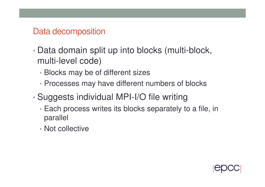#### Data decomposition

- • Data domain split up into blocks (multi-block, multi-level code)
	- Blocks may be of different sizes
	- Processes may have different numbers of blocks
- • Suggests individual MPI-I/O file writing
	- Each process writes its blocks separately to a file, in parallel
	- Not collective

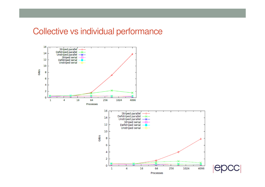#### Collective vs individual performance



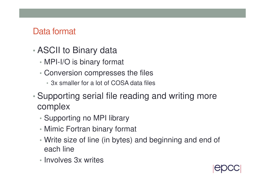#### Data format

- • ASCII to Binary data
	- •MPI-I/O is binary format
	- • Conversion compresses the files
		- 3x smaller for a lot of COSA data files
- • Supporting serial file reading and writing more complex
	- •Supporting no MPI library
	- Mimic Fortran binary format
	- Write size of line (in bytes) and beginning and end of each line
	- Involves 3x writes

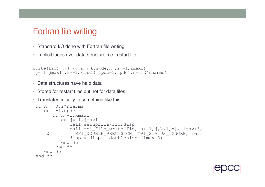#### Fortran file writing

- Standard I/O done with Fortran file writing
- Implicit loops over data structure, i.e. restart file:

```
write(fid) (((((q(i,j,k,ipde,n),i=-1,imax1)),
j= 1,jmax1),k=-1,kmax1),ipde=1,npde),n=0,2*nharms)
```
- Data structures have halo data
- Stored for restart files but not for data files
- Translated initially to something like this:

```
do n = 0, 2*nharmsdo l=1,npde
do k=-1,kmax1do j=–1,jmax1

call setupfile(fid,disp)
call mpi_file_write(fid, q(-1,j,k,l,n), imax+3,
& MPI_DOUBLE_PRECISION, MPI_STATUS_IGNORE, ierr)disp = disp + doublesize * (imax + 3)end doend doend doend do
```
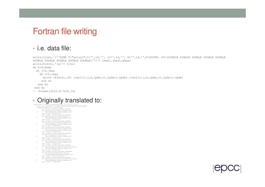#### Fortran file writing

#### • i.e. data file:

```
write(line1,'(''ZONE T="arturo",I='',i4,'', J='',i4,'', K='',i4,'',F=POINT, DT=(SINGLE SINGLE SINGLE DOUBLE DOUBLE
DOUBLE DOUBLE DOUBLE DOUBLE DOUBLE)'')') imax1,jmax1,kmax1
write(fid(n),'(a)') line1do k=0,kmaxdo j=0,jmax

do i=0,imax
write (fid(n),10) (var1(i,j,k,ipde,n),ipde=1,npde),(var2(i,j,k,ipde,n),ipde=1,npde)end doend doend do
10 format(3e16.8,7e22.14)
```
## • Originally translated to:<br>write(line1,'(''ZONE T="arturo HB, mode '',i2,''',I='',i4,'',<br>& DOUBLE DOUBLE DOUBLE DOUBLE DOUBLE DOUBLE DOUBLE DOUBLE DOUBLE POUBLE <br>& DOUBLE DOUBLE DOUBLE DOUBLE DOUBLE DOUBLE DOUBLE DOUBLE

 call setupfile(fid(n),disp,MPI\_INTEGER) call mpi\_file\_write(fid(n),integersize,1, & MPI\_INTEGER,MPI\_STATUS\_IGNORE,ierr) disp = disp + integersize call setupfile(fid(n),disp,MPI\_INTEGER) call mpi\_file\_write(fid(n),typechar,1, & MPI\_INTEGER,MPI\_STATUS\_IGNORE,ierr) disp = disp + integersize call setupfile(fid(n),disp,MPI\_INTEGER) call mpi\_file\_write(fid(n),integersize,1, & MPI\_INTEGER,MPI\_STATUS\_IGNORE,ierr)disp = disp + integersize call setupfile(fid(n),disp,MPI\_INTEGER) call mpi\_file\_write(fid(n),integersize,1, & MPI\_INTEGER,MPI\_STATUS\_IGNORE,ierr) disp = disp + integersize call setupfile(fid(n),disp,MPI\_INTEGER)call mpi\_file\_write(fid(n),111,1, & MPI\_INTEGER,MPI\_STATUS\_IGNORE,ierr)disp = disp + integersize call setupfile(fid(n),disp,MPI\_INTEGER) call mpi\_file\_write(fid(n),integersize,1, & MPI\_INTEGER,MPI\_STATUS\_IGNORE,ierr) disp = disp + integersize call setupfile(fid(n),disp,MPI\_INTEGER) call mpi\_file\_write(fid(n),111\*charactersize,1, & MPI\_INTEGER,MPI\_STATUS\_IGNORE,ierr) $disp = disp + integersize$ call setupfile(fid(n),disp,MPI\_CHARACTER)call mpi\_file\_write(fid(n),line1,111, & MPI\_CHARACTER,MPI\_STATUS\_IGNORE,ierr) disp = disp + charactersize\*111 call setupfile(fid(n),disp,MPI\_INTEGER) call mpi\_file\_write(fid(n),111\*charactersize,1,& MPI\_INTEGER,MPI\_STATUS\_IGNORE,ierr) disp = disp + integersize

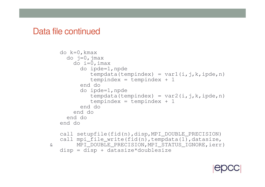#### Data file continued

```
do k=0,kmaxdo j=0,jmax

do i=0,imax
do ipde=1,npdetempdata(tempindex) = var1(i,j,k,ipde,n)
           tempindex = tempindex + 1end do
do ipde=1,npdetempdata(tempindex) = var2(i,j,k,ipde,n)
           tempindex = tempindex + 1
        end doend doend doend docall setupfile(fid(n),disp,MPI_DOUBLE_PRECISION)
call mpi_file_write(fid(n),tempdata(1),datasize,
& MPI_DOUBLE_PRECISION,MPI_STATUS_IGNORE,ierr)disp = disp + datasize*doublesize
```
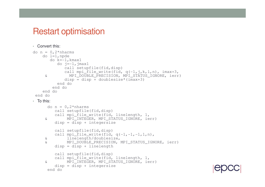#### Restart optimisation

```
• Convert this:
do n = 0.2*nharmsdo l=1,npde
do k=-1,kmax1do j=–1,jmax1

call setupfile(fid,disp)
call mpi_file_write(fid, q(-1,j,k,l,n), imax+3,
& MPI_DOUBLE_PRECISION, MPI_STATUS_IGNORE, ierr)disp = disp + doublesize * (imax + 3)end doend doend doend do
• To this:
     do n = 0, 2*nharms
call setupfile(fid,disp)
call mpi_file_write(fid, linelength, 1,
& MPI_INTEGER, MPI_STATUS_IGNORE, ierr)disp = disp + integersize
         call setupfile(fid,disp)
call mpi_file_write(fid, q(-1,-1,-1,1,n),& linelength/doublesize,
& MPI_DOUBLE_PRECISION, MPI_STATUS_IGNORE, ierr)disp = disp + linelength
         call setupfile(fid,disp)
call mpi_file_write(fid, linelength, 1,
& MPI_INTEGER, MPI_STATUS_IGNORE, ierr)disp = disp + integersize
      end do
```
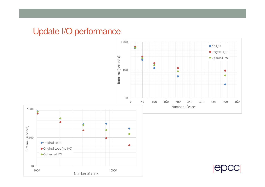## Update I/O performance

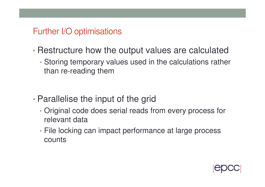## Further I/O optimisations

- • Restructure how the output values are calculated
	- • Storing temporary values used in the calculations rather than re-reading them

- • Parallelise the input of the grid
	- • Original code does serial reads from every process for relevant data
	- File locking can impact performance at large process counts

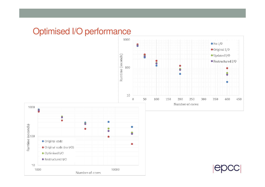#### Optimised I/O performance





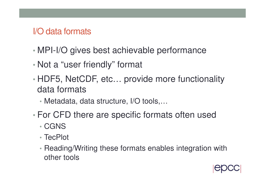#### I/O data formats

- •MPI-I/O gives best achievable performance
- •Not a "user friendly" format
- • HDF5, NetCDF, etc… provide more functionality data formats
	- •Metadata, data structure, I/O tools,…
- • For CFD there are specific formats often used
	- •CGNS
	- TecPlot
	- Reading/Writing these formats enables integration withother tools

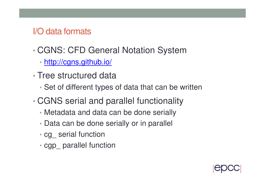#### I/O data formats

- • CGNS: CFD General Notation System
	- http://cgns.github.io/
- •• Tree structured data
	- •Set of different types of data that can be written
- • CGNS serial and parallel functionality
	- Metadata and data can be done serially
	- Data can be done serially or in parallel
	- cg\_ serial function
	- cgp\_ parallel function

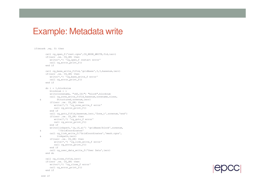#### Example: Metadata write

```
if(mrank .eq. 0) then
       call cg_open_f('rest.cgns',CG_MODE_WRITE,fid,ierr)
       if(ierr .ne. CG_OK) then
          write(*,*) 'cg_open_f restart error'
          call cg_error_print_f()end ifcall cg_base_write_f(fid, 'gridbase', 3, 3, basenum, ierr)
       if(ierr .ne. CG_OK) then
          write(*,*) 'cg_base_write_f error'
          call cg_error_print_f()end ifdo i = 1,blocksize
          blocknum = i
          write(zonename, "(A5, I6)") "block", blocknum

call cg_zone_write_f(fid,basenum,zonename,sizes,& Structured,zonenum,ierr)if(ierr .ne. CG_OK) then
             write(*,*) 'cg_zone_write_f error'
             call cg_error_print_f()end if
call cg_goto_f(fid,basenum,ierr,'Zone_t',zonenum,'end')if(ierr .ne. CG_OK) then
             write(*,*) 'cg_goto_f error'
             call cg_error_print_f()end if
write(linkpath,'(a,i6,a)') 'gridbase/block',zonenum,& '/GridCoordinates'
call cg_link_write_f('GridCoordinates','mesh.cgns',& linkpath,ierr)
if(ierr .ne. CG_OK) then
             write(*,*) 'cg_link_write_f error'
             call cg_error_print_f()end if
call cg_user_data_write_f('User Data',ierr)end docall cg_close_f(fid,ierr)
if(ierr .ne. CG_OK) then
          write(*,*) 'cg_close_f error'
          call cg_error_print_f()end if
```
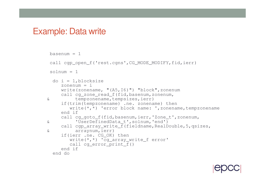#### Example: Data write

```
basenum = 1call cgp_open_f('rest.cgns',CG_MODE_MODIFY,fid,ierr)
solnum = 1do i = 1, blocksize
    zonenum = i
    write(zonename, "(A5,I6)") "block",zonenumcall cg_zone_read_f(fid,basenum,zonenum,& tempzonename,tempsizes,ierr)
if(trim(tempzonename) .ne. zonename) then
write(*,*) 'error block name: ',zonename,tempzonenameend if
call cg_goto_f(fid,basenum,ierr,'Zone_t',zonenum,& 'UserDefinedData_t',solnum,'end')
call cgp_array_write_f(fieldname,RealDouble,5,qsizes,& arraynum,ierr)
if(ierr .ne. CG_OK) then
       write(*,*) 'cg_array_write_f error'
       call cg_error_print_f()
    end if end do
```
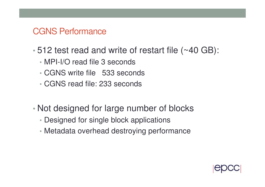#### CGNS Performance

- • 512 test read and write of restart file (~40 GB):
	- •MPI-I/O read file 3 seconds
	- •CGNS write file 533 seconds
	- •CGNS read file: 233 seconds
- • Not designed for large number of blocks
	- Designed for single block applications
	- Metadata overhead destroying performance

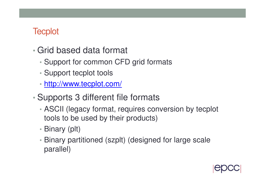## **Tecplot**

- • Grid based data format
	- •Support for common CFD grid formats
	- •Support tecplot tools
	- http://www.tecplot.com/
- • Supports 3 different file formats
	- • ASCII (legacy format, requires conversion by tecplot tools to be used by their products)
	- Binary (plt)
	- Binary partitioned (szplt) (designed for large scale parallel)

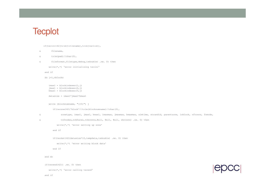#### **Tecplot**

```
if(tecini142(trim(titlename),trim(varlist),
```

```
& filename,
```

```
\& trim(pwd)//char(0),
```
& fileformat,filetype,debug,isdouble) .ne. 0) then

```
write(*,*) 'error initialising tecini'
```
end if

```
do j=1,nblocks
```

```
imax1 = block indexes(1, j)
jmax1 = blockindexes(2,j)
kmax1 = blockindexes(3,j)
```

```
datasize = imax1*jmax1*kmax1
```

```
write (blocknumname, "(I5)") j
```

```
if(teczne142('block'//trim(blocknumname)//char(0),
```

```
& zonetype, imax1, jmax1, kmax1, imaxmax, jmaxmax, kmaxmax, simtime, strandid, parentzone, isblock, nfconns, fnmode,
```

```
& tnfnodes,ncbfaces,tnbconns,Null, Null, Null, shrconn) .ne. 0) then
```

```
write(*,*) 'error setting up zone'
```
end if

```
if(tecdat142(datasize*10,tempdata,isdouble) .ne. 0) then
```

```
write(*,*) 'error writing block data'
```
end if

#### end do

if(tecend142() .ne. 0) then

write(\*,\*) 'error calling tecend'

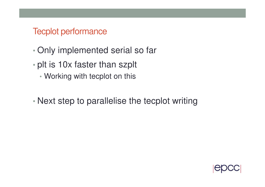#### Tecplot performance

- •Only implemented serial so far
- • plt is 10x faster than szplt
	- Working with tecplot on this
- •Next step to parallelise the tecplot writing

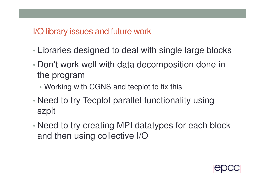#### I/O library issues and future work

- •Libraries designed to deal with single large blocks
- • Don't work well with data decomposition done in the program
	- WORKING W Working with CGNS and tecplot to fix this
- • Need to try Tecplot parallel functionality using szplt
- • Need to try creating MPI datatypes for each block and then using collective I/O

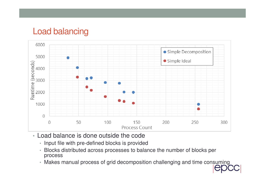#### Load balancing



- Load balance is done outside the code
	- Input file with pre-defined blocks is provided
	- Blocks distributed across processes to balance the number of blocks per process
	- Makes manual process of grid decomposition challenging and time consuming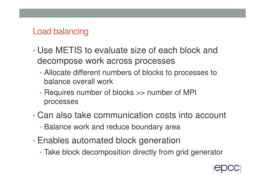## Load balancing

- • Use METIS to evaluate size of each block and decompose work across processes
	- Allocate different numbers of blocks to processes to balance overall work
	- Requires number of blocks >> number of MPI processes
- • Can also take communication costs into account
	- Balance work and reduce boundary area
- • Enables automated block generation
	- Take block decomposition directly from grid generator

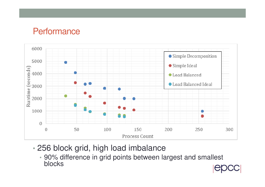#### **Performance**



- • 256 block grid, high load imbalance
	- 90% difference in grid points between largest and smallest blocks

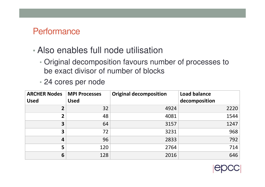#### **Performance**

#### •Also enables full node utilisation

- • Original decomposition favours number of processes to be exact divisor of number of blocks
- 24 cores per node

| <b>ARCHER Nodes</b><br><b>Used</b> | <b>MPI Processes</b><br><b>Used</b> | <b>Original decomposition</b> | <b>Load balance</b><br>decomposition |
|------------------------------------|-------------------------------------|-------------------------------|--------------------------------------|
| $\overline{2}$                     | 32                                  | 4924                          | 2220                                 |
|                                    | 48                                  | 4081                          | 1544                                 |
| 3                                  | 64                                  | 3157                          | 1247                                 |
| 3                                  | 72                                  | 3231                          | 968                                  |
| 4                                  | 96                                  | 2833                          | 792                                  |
| 5                                  | 120                                 | 2764                          | 714                                  |
| 6                                  | 128                                 | 2016                          | 646                                  |